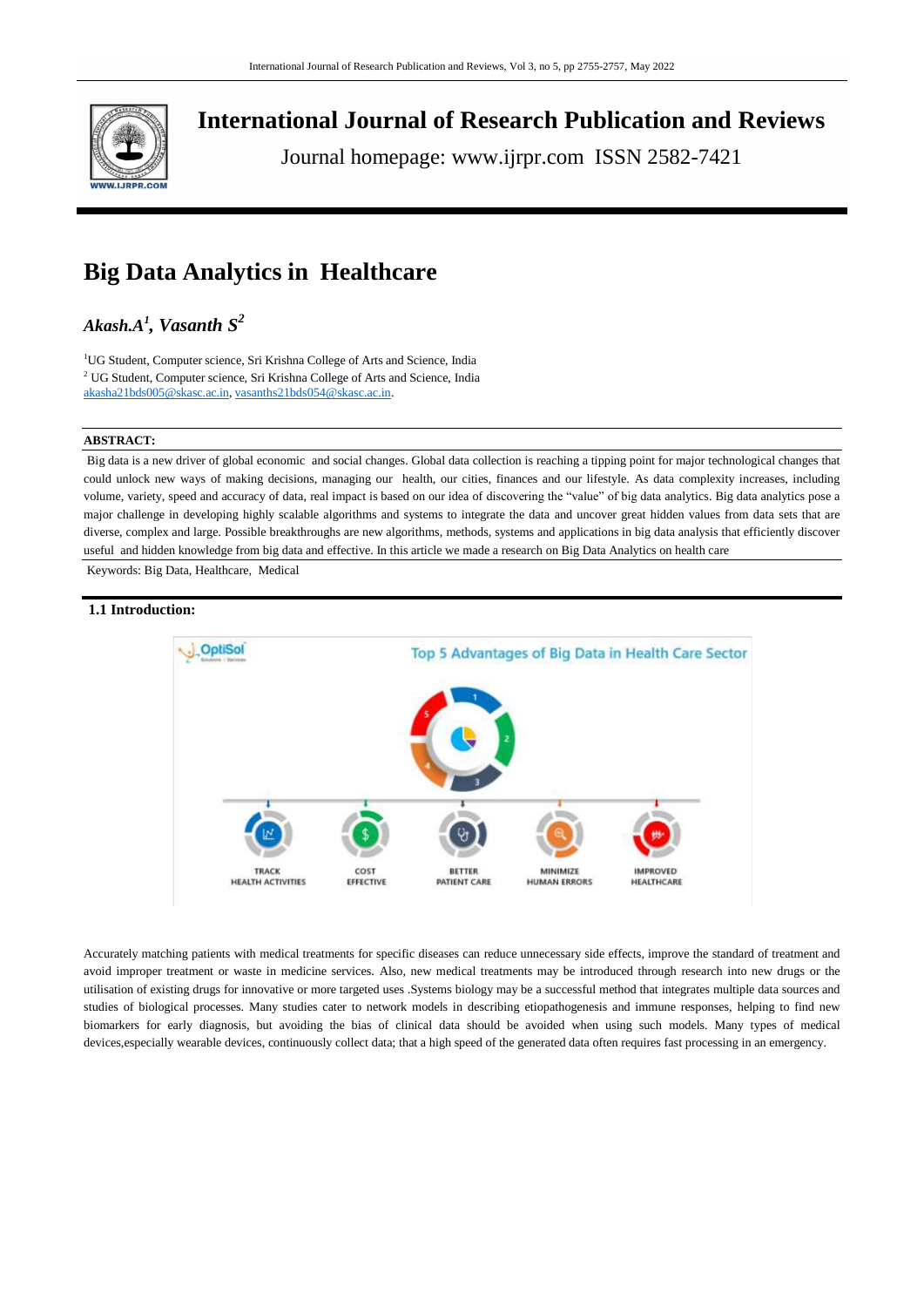

**International Journal of Research Publication and Reviews**

Journal homepage: www.ijrpr.com ISSN 2582-7421

# **Big Data Analytics in Healthcare**

# *Akash.A<sup>1</sup> , Vasanth S 2*

<sup>1</sup>UG Student, Computer science, Sri Krishna College of Arts and Science, India <sup>2</sup> UG Student, Computer science, Sri Krishna College of Arts and Science, India [akasha21bds005@skasc.ac.in,](mailto:akasha21bds005@skasc.ac.in) [vasanths21bds054@skasc.ac.in.](mailto:akasha21bds005@skasc.ac.in)

# **ABSTRACT:**

Big data is a new driver of global economic and social changes. Global data collection is reaching a tipping point for major technological changes that could unlock new ways of making decisions, managing our health, our cities, finances and our lifestyle. As data complexity increases, including volume, variety, speed and accuracy of data, real impact is based on our idea of discovering the "value" of big data analytics. Big data analytics pose a major challenge in developing highly scalable algorithms and systems to integrate the data and uncover great hidden values from data sets that are diverse, complex and large. Possible breakthroughs are new algorithms, methods, systems and applications in big data analysis that efficiently discover useful and hidden knowledge from big data and effective. In this article we made a research on Big Data Analytics on health care

Keywords: Big Data, Healthcare, Medical

# **1.1 Introduction:**



Accurately matching patients with medical treatments for specific diseases can reduce unnecessary side effects, improve the standard of treatment and avoid improper treatment or waste in medicine services. Also, new medical treatments may be introduced through research into new drugs or the utilisation of existing drugs for innovative or more targeted uses .Systems biology may be a successful method that integrates multiple data sources and studies of biological processes. Many studies cater to network models in describing etiopathogenesis and immune responses, helping to find new biomarkers for early diagnosis, but avoiding the bias of clinical data should be avoided when using such models. Many types of medical devices,especially wearable devices, continuously collect data; that a high speed of the generated data often requires fast processing in an emergency.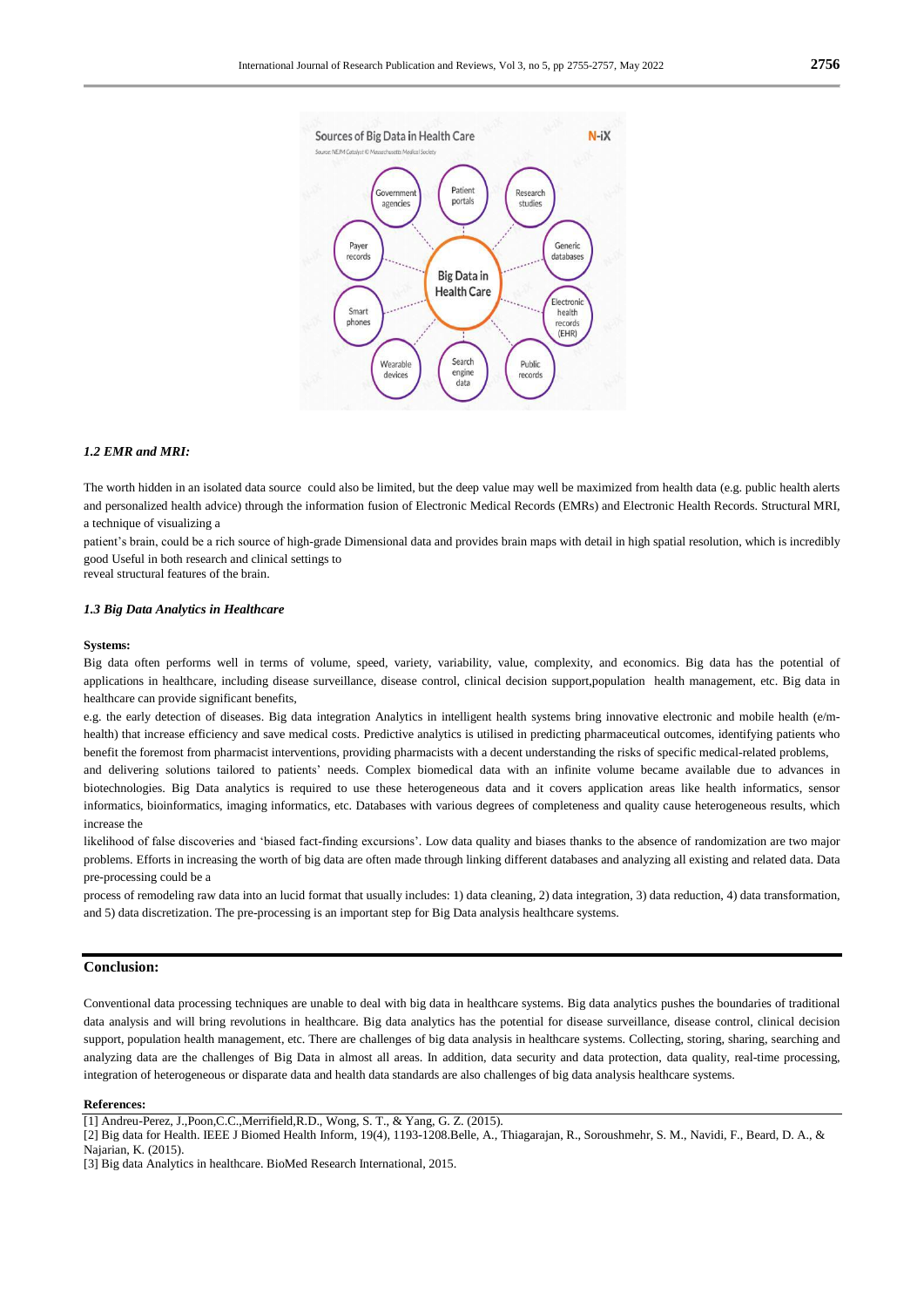

# *1.2 EMR and MRI:*

The worth hidden in an isolated data source could also be limited, but the deep value may well be maximized from health data (e.g. public health alerts and personalized health advice) through the information fusion of Electronic Medical Records (EMRs) and Electronic Health Records. Structural MRI, a technique of visualizing a

patient"s brain, could be a rich source of high-grade Dimensional data and provides brain maps with detail in high spatial resolution, which is incredibly good Useful in both research and clinical settings to

reveal structural features of the brain.

#### *1.3 Big Data Analytics in Healthcare*

#### **Systems:**

Big data often performs well in terms of volume, speed, variety, variability, value, complexity, and economics. Big data has the potential of applications in healthcare, including disease surveillance, disease control, clinical decision support,population health management, etc. Big data in healthcare can provide significant benefits,

e.g. the early detection of diseases. Big data integration Analytics in intelligent health systems bring innovative electronic and mobile health (e/mhealth) that increase efficiency and save medical costs. Predictive analytics is utilised in predicting pharmaceutical outcomes, identifying patients who benefit the foremost from pharmacist interventions, providing pharmacists with a decent understanding the risks of specific medical-related problems,

and delivering solutions tailored to patients" needs. Complex biomedical data with an infinite volume became available due to advances in biotechnologies. Big Data analytics is required to use these heterogeneous data and it covers application areas like health informatics, sensor informatics, bioinformatics, imaging informatics, etc. Databases with various degrees of completeness and quality cause heterogeneous results, which increase the

likelihood of false discoveries and "biased fact-finding excursions". Low data quality and biases thanks to the absence of randomization are two major problems. Efforts in increasing the worth of big data are often made through linking different databases and analyzing all existing and related data. Data pre-processing could be a

process of remodeling raw data into an lucid format that usually includes: 1) data cleaning, 2) data integration, 3) data reduction, 4) data transformation, and 5) data discretization. The pre-processing is an important step for Big Data analysis healthcare systems.

### **Conclusion:**

Conventional data processing techniques are unable to deal with big data in healthcare systems. Big data analytics pushes the boundaries of traditional data analysis and will bring revolutions in healthcare. Big data analytics has the potential for disease surveillance, disease control, clinical decision support, population health management, etc. There are challenges of big data analysis in healthcare systems. Collecting, storing, sharing, searching and analyzing data are the challenges of Big Data in almost all areas. In addition, data security and data protection, data quality, real-time processing, integration of heterogeneous or disparate data and health data standards are also challenges of big data analysis healthcare systems.

#### **References:**

<sup>[1]</sup> Andreu-Perez, J.,Poon,C.C.,Merrifield,R.D., Wong, S. T., & Yang, G. Z. (2015).

<sup>[2]</sup> Big data for Health. IEEE J Biomed Health Inform, 19(4), 1193-1208.Belle, A., Thiagarajan, R., Soroushmehr, S. M., Navidi, F., Beard, D. A., & Najarian, K. (2015).

<sup>[3]</sup> Big data Analytics in healthcare. BioMed Research International, 2015.